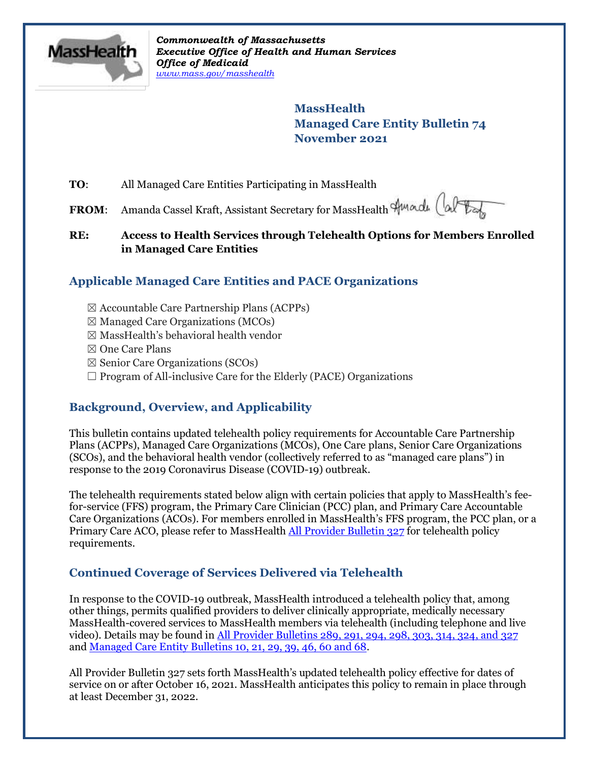

*Commonwealth of Massachusetts Executive Office of Health and Human Services Office of Medicaid [www.mass.gov/masshealth](http://www.mass.gov/masshealth)*

> **MassHealth Managed Care Entity Bulletin 74 November 2021**

**TO**: All Managed Care Entities Participating in MassHealth

**FROM:** Amanda Cassel Kraft, Assistant Secretary for MassHealth Amade (alter

### **RE: Access to Health Services through Telehealth Options for Members Enrolled in Managed Care Entities**

# **Applicable Managed Care Entities and PACE Organizations**

- ☒ Accountable Care Partnership Plans (ACPPs)
- $\boxtimes$  Managed Care Organizations (MCOs)
- ☒ MassHealth's behavioral health vendor
- ☒ One Care Plans
- $\boxtimes$  Senior Care Organizations (SCOs)
- $\Box$  Program of All-inclusive Care for the Elderly (PACE) Organizations

# **Background, Overview, and Applicability**

This bulletin contains updated telehealth policy requirements for Accountable Care Partnership Plans (ACPPs), Managed Care Organizations (MCOs), One Care plans, Senior Care Organizations (SCOs), and the behavioral health vendor (collectively referred to as "managed care plans") in response to the 2019 Coronavirus Disease (COVID-19) outbreak.

The telehealth requirements stated below align with certain policies that apply to MassHealth's feefor-service (FFS) program, the Primary Care Clinician (PCC) plan, and Primary Care Accountable Care Organizations (ACOs). For members enrolled in MassHealth's FFS program, the PCC plan, or a Primary Care ACO, please refer to MassHealth [All Provider Bulletin 327](https://www.mass.gov/lists/all-provider-bulletins) for telehealth policy requirements.

## **Continued Coverage of Services Delivered via Telehealth**

In response to the COVID-19 outbreak, MassHealth introduced a telehealth policy that, among other things, permits qualified providers to deliver clinically appropriate, medically necessary MassHealth-covered services to MassHealth members via telehealth (including telephone and live video). Details may be found in [All Provider Bulletins 289, 291, 294, 298, 303, 314, 324,](http://www.mass.gov/lists/all-provider-bulletins) and 327 and [Managed Care Entity Bulletins 10, 21, 29, 39, 46, 60 and 68.](https://www.mass.gov/lists/masshealth-provider-bulletins-by-provider-type-i-n#managed-care-entity-)

All Provider Bulletin 327 sets forth MassHealth's updated telehealth policy effective for dates of service on or after October 16, 2021. MassHealth anticipates this policy to remain in place through at least December 31, 2022.